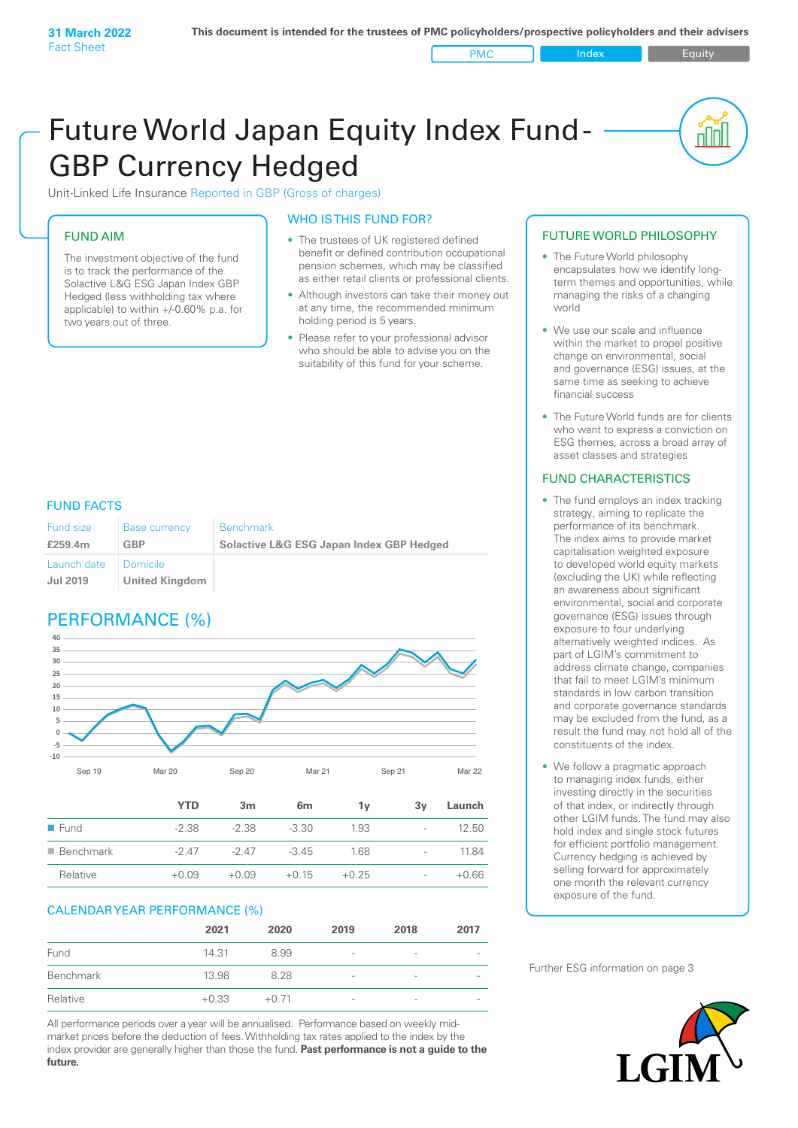PMC Index PMC Equity

<u>nul</u>

# Future World Japan Equity Index Fund - GBP Currency Hedged

Unit-Linked Life Insurance Reported in GBP (Gross of charges)

#### FUND AIM

The investment objective of the fund is to track the performance of the Solactive L&G ESG Japan Index GBP Hedged (less withholding tax where applicable) to within +/‑0.60% p.a. for two years out of three.

#### WHO IS THIS FUND FOR?

- The trustees of UK registered defined benefit or defined contribution occupational pension schemes, which may be classified as either retail clients or professional clients.
- Although investors can take their money out at any time, the recommended minimum holding period is 5 years.
- Please refer to your professional advisor who should be able to advise you on the suitability of this fund for your scheme.

#### FUND FACTS

| Fund size<br>£259.4m | <b>Base currency</b><br>GBP | <b>Benchmark</b><br>Solactive L&G ESG Japan Index GBP Hedged |
|----------------------|-----------------------------|--------------------------------------------------------------|
| Launch date          | Domicile                    |                                                              |
| <b>Jul 2019</b>      | <b>United Kingdom</b>       |                                                              |

## PERFORMANCE (%)



|                          | YTD     | 3m      | 6 <sub>m</sub> | 1v      | 3v                       | Launch  |
|--------------------------|---------|---------|----------------|---------|--------------------------|---------|
| $\blacksquare$ Fund      | $-2.38$ | $-2.38$ | $-3.30$        | 1.93    | $\overline{\phantom{0}}$ | 12.50   |
| $\blacksquare$ Benchmark | $-247$  | $-247$  | $-345$         | 1.68    | $\overline{\phantom{0}}$ | 1184    |
| Relative                 | $+0.09$ | $+0.09$ | $+0.15$        | $+0.25$ | -                        | $+0.66$ |

#### CALENDAR YEAR PERFORMANCE (%)

|           | 2021    | 2020    | 2019            | 2018                     | 2017                     |
|-----------|---------|---------|-----------------|--------------------------|--------------------------|
| Fund      | 14.31   | 8.99    | -               | -                        | $\overline{\phantom{a}}$ |
| Benchmark | 13.98   | 8.28    | $\qquad \qquad$ | $\overline{\phantom{a}}$ |                          |
| Relative  | $+0.33$ | $+0.71$ | $\qquad \qquad$ | $\qquad \qquad$          |                          |

All performance periods over a year will be annualised. Performance based on weekly midmarket prices before the deduction of fees. Withholding tax rates applied to the index by the index provider are generally higher than those the fund. **Past performance is not a guide to the future.**

#### FUTURE WORLD PHILOSOPHY

- The Future World philosophy encapsulates how we identify longterm themes and opportunities, while managing the risks of a changing world
- We use our scale and influence within the market to propel positive change on environmental, social and governance (ESG) issues, at the same time as seeking to achieve financial success
- The Future World funds are for clients who want to express a conviction on ESG themes, across a broad array of asset classes and strategies

#### FUND CHARACTERISTICS

- The fund employs an index tracking strategy, aiming to replicate the performance of its benchmark. The index aims to provide market capitalisation weighted exposure to developed world equity markets (excluding the UK) while reflecting an awareness about significant environmental, social and corporate governance (ESG) issues through exposure to four underlying alternatively weighted indices. As part of LGIM's commitment to address climate change, companies that fail to meet LGIM's minimum standards in low carbon transition and corporate governance standards may be excluded from the fund, as a result the fund may not hold all of the constituents of the index.
- We follow a pragmatic approach to managing index funds, either investing directly in the securities of that index, or indirectly through other LGIM funds. The fund may also hold index and single stock futures for efficient portfolio management. Currency hedging is achieved by selling forward for approximately one month the relevant currency exposure of the fund.

Further ESG information on page 3

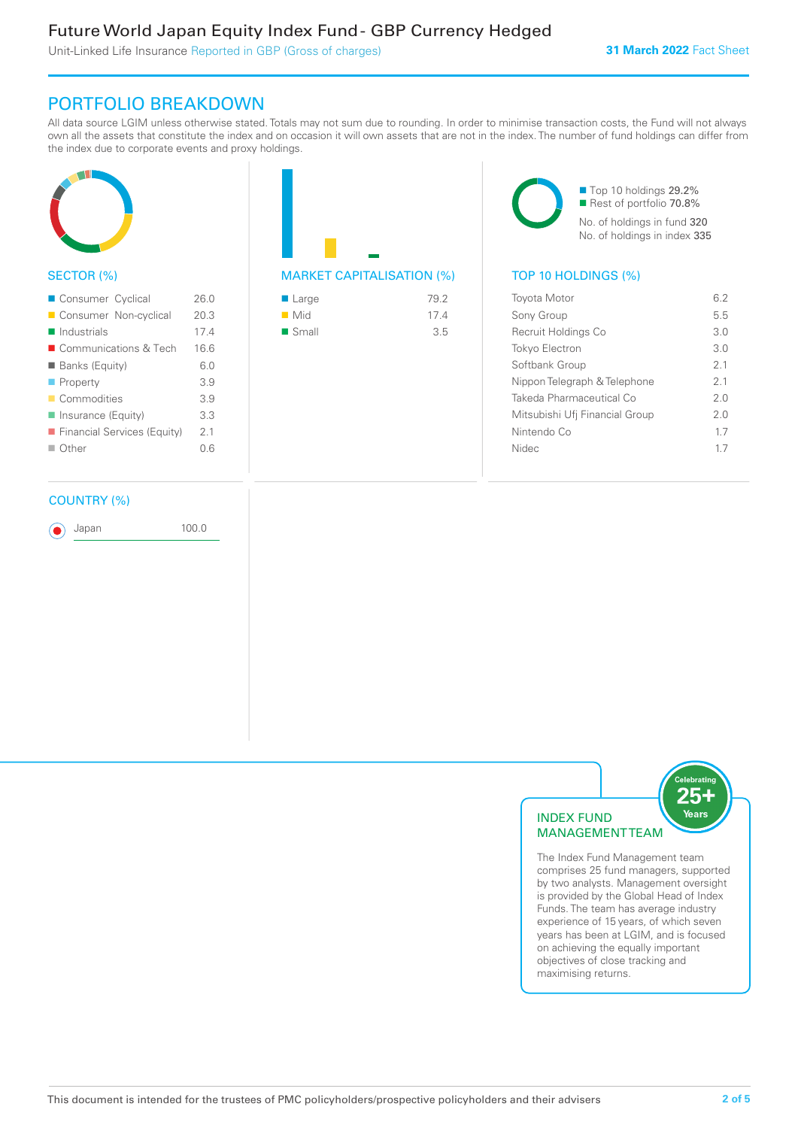### Future World Japan Equity Index Fund - GBP Currency Hedged

Unit-Linked Life Insurance Reported in GBP (Gross of charges)

### PORTFOLIO BREAKDOWN

All data source LGIM unless otherwise stated. Totals may not sum due to rounding. In order to minimise transaction costs, the Fund will not always own all the assets that constitute the index and on occasion it will own assets that are not in the index. The number of fund holdings can differ from the index due to corporate events and proxy holdings.



### SECTOR (%)

| Consumer Cyclical           | 26.0 |
|-----------------------------|------|
| Consumer Non-cyclical       | 20.3 |
| $\blacksquare$ Industrials  | 174  |
| ■ Communications & Tech     | 166  |
| <b>Banks (Equity)</b>       | 6.0  |
| $\blacksquare$ Property     | 3.9  |
| Commodities                 | 3.9  |
| Insurance (Equity)          | 3.3  |
| Financial Services (Equity) | 2.1  |
| $\Box$ Other                | ი 6  |
|                             |      |

#### COUNTRY (%)

Japan 100.0

MARKET CAPITALISATION (%) TOP 10 HOLDINGS (%)

| $\blacksquare$ Large | 79.2 |
|----------------------|------|
| $\blacksquare$ Mid   | 17.4 |
| $\blacksquare$ Small | 3.5  |

■ Top 10 holdings 29.2% Rest of portfolio 70.8% No. of holdings in fund 320 No. of holdings in index 335

| <b>Toyota Motor</b>            | 6.2 |
|--------------------------------|-----|
| Sony Group                     | 5.5 |
| Recruit Holdings Co            | 3 O |
| <b>Tokyo Electron</b>          | 3 O |
| Softbank Group                 | 21  |
| Nippon Telegraph & Telephone   | 21  |
| Takeda Pharmaceutical Co       | 20  |
| Mitsubishi Ufj Financial Group | 20  |
| Nintendo Co                    | 17  |
| Nidec                          | 17  |
|                                |     |



25-Years

The Index Fund Management team comprises 25 fund managers, supported by two analysts. Management oversight is provided by the Global Head of Index Funds. The team has average industry experience of 15 years, of which seven years has been at LGIM, and is focused on achieving the equally important objectives of close tracking and maximising returns.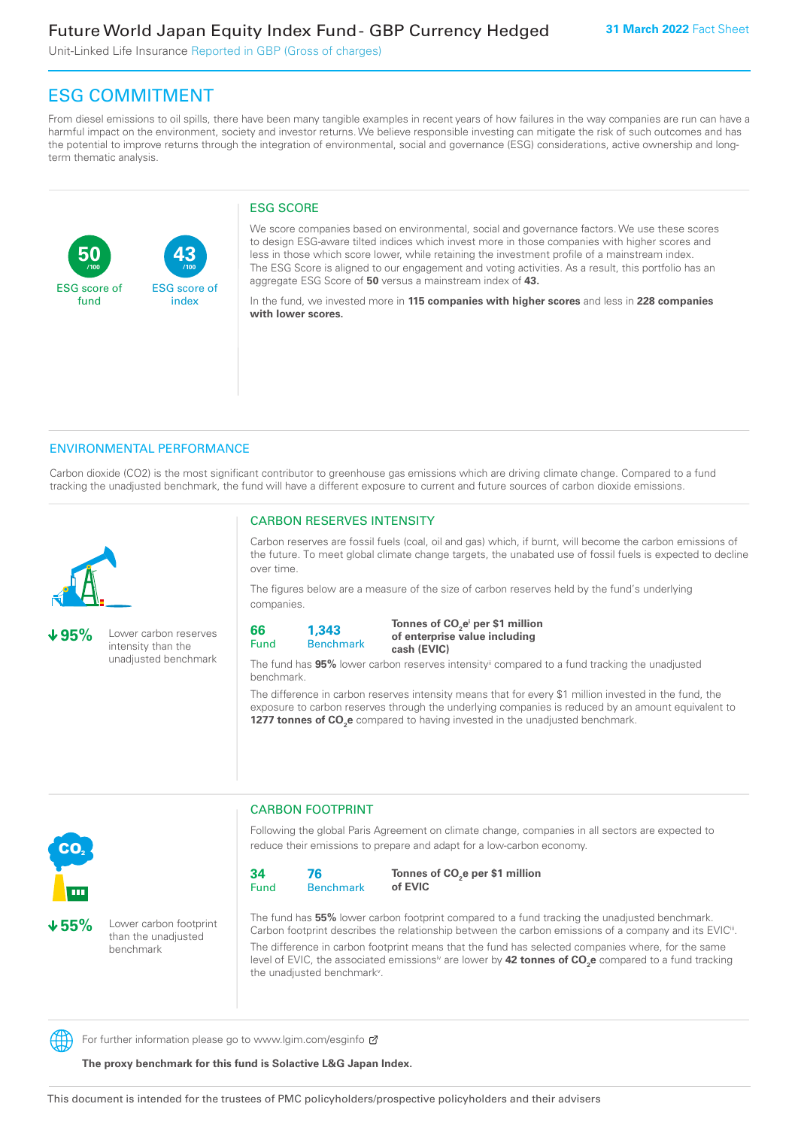Unit-Linked Life Insurance Reported in GBP (Gross of charges)

**43**

ESG score of index

### ESG COMMITMENT

**/100 /100**

From diesel emissions to oil spills, there have been many tangible examples in recent years of how failures in the way companies are run can have a harmful impact on the environment, society and investor returns. We believe responsible investing can mitigate the risk of such outcomes and has the potential to improve returns through the integration of environmental, social and governance (ESG) considerations, active ownership and longterm thematic analysis.

#### ESG SCORE

We score companies based on environmental, social and governance factors. We use these scores to design ESG-aware tilted indices which invest more in those companies with higher scores and less in those which score lower, while retaining the investment profile of a mainstream index. The ESG Score is aligned to our engagement and voting activities. As a result, this portfolio has an aggregate ESG Score of **50** versus a mainstream index of **43.**

In the fund, we invested more in **115 companies with higher scores** and less in **228 companies with lower scores.**

#### ENVIRONMENTAL PERFORMANCE

Carbon dioxide (CO2) is the most significant contributor to greenhouse gas emissions which are driving climate change. Compared to a fund tracking the unadjusted benchmark, the fund will have a different exposure to current and future sources of carbon dioxide emissions.



**50**

ESG score of fund

**95%** Lower carbon reserves intensity than the unadjusted benchmark

#### CARBON RESERVES INTENSITY

Carbon reserves are fossil fuels (coal, oil and gas) which, if burnt, will become the carbon emissions of the future. To meet global climate change targets, the unabated use of fossil fuels is expected to decline over time.

The figures below are a measure of the size of carbon reserves held by the fund's underlying companies.

**66** Fund **1,343**

Benchmark

Tonnes of CO<sub>2</sub>e<sup>i</sup> per \$1 million **of enterprise value including cash (EVIC)**

The fund has **95%** lower carbon reserves intensityii compared to a fund tracking the unadjusted benchmark.

The difference in carbon reserves intensity means that for every \$1 million invested in the fund, the exposure to carbon reserves through the underlying companies is reduced by an amount equivalent to **1277 tonnes of CO<sub>2</sub>e** compared to having invested in the unadjusted benchmark.



**55%** Lower carbon footprint than the unadjusted benchmark

CARBON FOOTPRINT

Following the global Paris Agreement on climate change, companies in all sectors are expected to reduce their emissions to prepare and adapt for a low-carbon economy.



Tonnes of CO<sub>2</sub>e per \$1 million **of EVIC**

The fund has **55%** lower carbon footprint compared to a fund tracking the unadjusted benchmark. Carbon footprint describes the relationship between the carbon emissions of a company and its EVIC<sup>ii</sup>. The difference in carbon footprint means that the fund has selected companies where, for the same level of EVIC, the associated emissionsi<sup>v</sup> are lower by **42 tonnes of CO<sub>2</sub>e** compared to a fund tracking the unadjusted benchmark<sup>v</sup>.

For further information please go to www.lgim.com/esginfo  $\sigma$ 

**The proxy benchmark for this fund is Solactive L&G Japan Index.**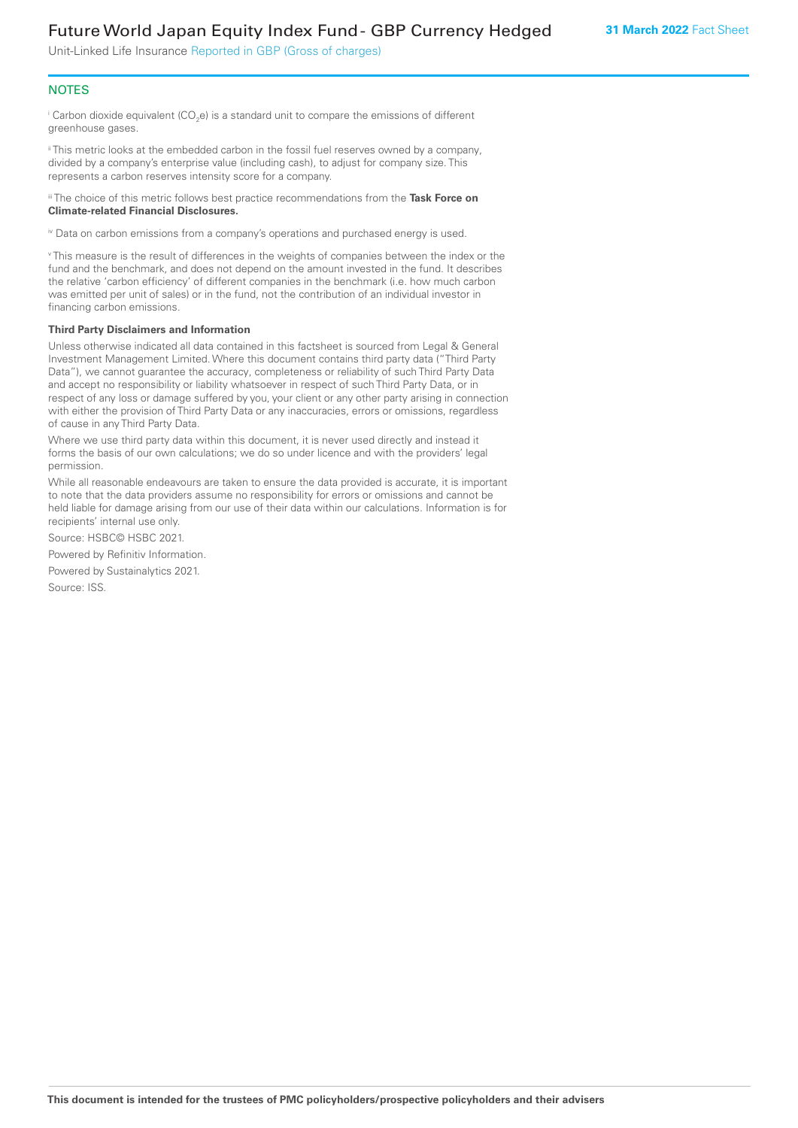### Future World Japan Equity Index Fund - GBP Currency Hedged

Unit-Linked Life Insurance Reported in GBP (Gross of charges)

#### **NOTES**

 $^\mathrm{i}$  Carbon dioxide equivalent (CO<sub>2</sub>e) is a standard unit to compare the emissions of different greenhouse gases.

ii This metric looks at the embedded carbon in the fossil fuel reserves owned by a company, divided by a company's enterprise value (including cash), to adjust for company size. This represents a carbon reserves intensity score for a company.

iii The choice of this metric follows best practice recommendations from the **Task Force on Climate-related Financial Disclosures.**

iv Data on carbon emissions from a company's operations and purchased energy is used.

v This measure is the result of differences in the weights of companies between the index or the fund and the benchmark, and does not depend on the amount invested in the fund. It describes the relative 'carbon efficiency' of different companies in the benchmark (i.e. how much carbon was emitted per unit of sales) or in the fund, not the contribution of an individual investor in financing carbon emissions.

#### **Third Party Disclaimers and Information**

Unless otherwise indicated all data contained in this factsheet is sourced from Legal & General Investment Management Limited. Where this document contains third party data ("Third Party Data"), we cannot guarantee the accuracy, completeness or reliability of such Third Party Data and accept no responsibility or liability whatsoever in respect of such Third Party Data, or in respect of any loss or damage suffered by you, your client or any other party arising in connection with either the provision of Third Party Data or any inaccuracies, errors or omissions, regardless of cause in any Third Party Data.

Where we use third party data within this document, it is never used directly and instead it forms the basis of our own calculations; we do so under licence and with the providers' legal permission.

While all reasonable endeavours are taken to ensure the data provided is accurate, it is important to note that the data providers assume no responsibility for errors or omissions and cannot be held liable for damage arising from our use of their data within our calculations. Information is for recipients' internal use only.

Source: HSBC© HSBC 2021.

Powered by Refinitiv Information.

Powered by Sustainalytics 2021.

Source: ISS.